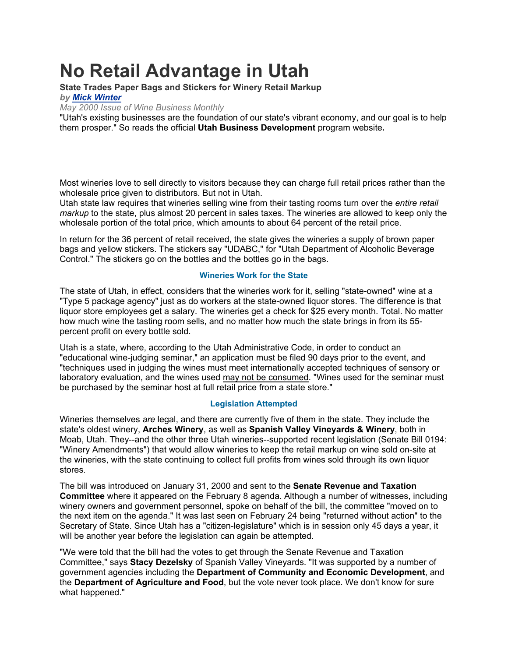## **No Retail Advantage in Utah**

**State Trades Paper Bags and Stickers for Winery Retail Markup** *by Mick Winter*

*May 2000 Issue of Wine Business Monthly* 

"Utah's existing businesses are the foundation of our state's vibrant economy, and our goal is to help them prosper." So reads the official **Utah Business Development** program website**.**

Most wineries love to sell directly to visitors because they can charge full retail prices rather than the wholesale price given to distributors. But not in Utah.

Utah state law requires that wineries selling wine from their tasting rooms turn over the *entire retail markup* to the state, plus almost 20 percent in sales taxes. The wineries are allowed to keep only the wholesale portion of the total price, which amounts to about 64 percent of the retail price.

In return for the 36 percent of retail received, the state gives the wineries a supply of brown paper bags and yellow stickers. The stickers say "UDABC," for "Utah Department of Alcoholic Beverage Control." The stickers go on the bottles and the bottles go in the bags.

## **Wineries Work for the State**

The state of Utah, in effect, considers that the wineries work for it, selling "state-owned" wine at a "Type 5 package agency" just as do workers at the state-owned liquor stores. The difference is that liquor store employees get a salary. The wineries get a check for \$25 every month. Total. No matter how much wine the tasting room sells, and no matter how much the state brings in from its 55 percent profit on every bottle sold.

Utah is a state, where, according to the Utah Administrative Code, in order to conduct an "educational wine-judging seminar," an application must be filed 90 days prior to the event, and "techniques used in judging the wines must meet internationally accepted techniques of sensory or laboratory evaluation, and the wines used may not be consumed. "Wines used for the seminar must be purchased by the seminar host at full retail price from a state store."

## **Legislation Attempted**

Wineries themselves *are* legal, and there are currently five of them in the state. They include the state's oldest winery, **Arches Winery**, as well as **Spanish Valley Vineyards & Winery**, both in Moab, Utah. They--and the other three Utah wineries--supported recent legislation (Senate Bill 0194: "Winery Amendments") that would allow wineries to keep the retail markup on wine sold on-site at the wineries, with the state continuing to collect full profits from wines sold through its own liquor stores.

The bill was introduced on January 31, 2000 and sent to the **Senate Revenue and Taxation Committee** where it appeared on the February 8 agenda. Although a number of witnesses, including winery owners and government personnel, spoke on behalf of the bill, the committee "moved on to the next item on the agenda." It was last seen on February 24 being "returned without action" to the Secretary of State. Since Utah has a "citizen-legislature" which is in session only 45 days a year, it will be another year before the legislation can again be attempted.

"We were told that the bill had the votes to get through the Senate Revenue and Taxation Committee," says **Stacy Dezelsky** of Spanish Valley Vineyards. "It was supported by a number of government agencies including the **Department of Community and Economic Development**, and the **Department of Agriculture and Food**, but the vote never took place. We don't know for sure what happened."